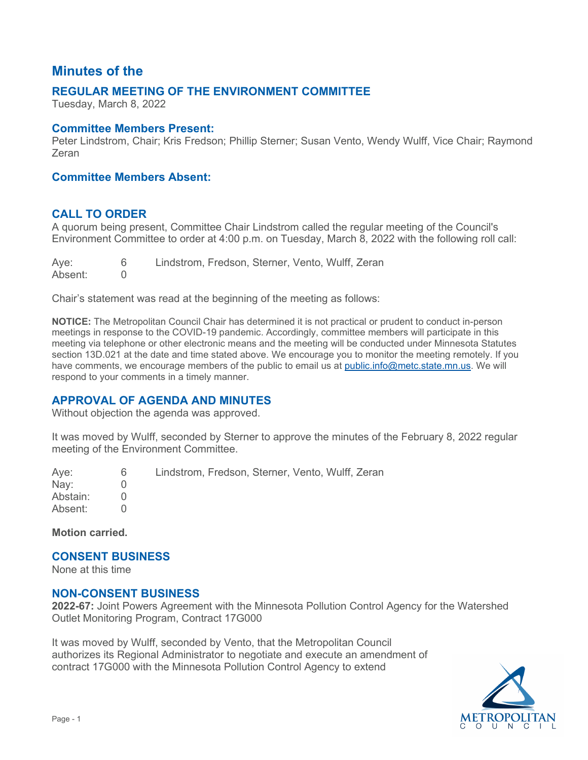# **Minutes of the**

# **REGULAR MEETING OF THE ENVIRONMENT COMMITTEE**

Tuesday, March 8, 2022

#### **Committee Members Present:**

Peter Lindstrom, Chair; Kris Fredson; Phillip Sterner; Susan Vento, Wendy Wulff, Vice Chair; Raymond Zeran

### **Committee Members Absent:**

#### **CALL TO ORDER**

 A quorum being present, Committee Chair Lindstrom called the regular meeting of the Council's Environment Committee to order at 4:00 p.m. on Tuesday, March 8, 2022 with the following roll call:

Ave: 6 Lindstrom, Fredson, Sterner, Vento, Wulff, Zeran<br>0 Absent:

Chair's statement was read at the beginning of the meeting as follows:

 section 13D.021 at the date and time stated above. We encourage you to monitor the meeting remotely. If you respond to your comments in a timely manner. **NOTICE:** The Metropolitan Council Chair has determined it is not practical or prudent to conduct in-person meetings in response to the COVID-19 pandemic. Accordingly, committee members will participate in this meeting via telephone or other electronic means and the meeting will be conducted under Minnesota Statutes have comments, we encourage members of the public to email us at [public.info@metc.state.mn.us.](mailto:public.info@metc.state.mn.us) We will

# **APPROVAL OF AGENDA AND MINUTES**

Without objection the agenda was approved.

 It was moved by Wulff, seconded by Sterner to approve the minutes of the February 8, 2022 regular meeting of the Environment Committee.

Ave: Aye: 6<br>Nay: 0 Abstain: 0  $\begin{matrix}0\\0\end{matrix}$ Lindstrom, Fredson, Sterner, Vento, Wulff, Zeran Absent: 0

**Motion carried.** 

#### **CONSENT BUSINESS**

None at this time

#### **NON-CONSENT BUSINESS**

**2022-67:** Joint Powers Agreement with the Minnesota Pollution Control Agency for the Watershed Outlet Monitoring Program, Contract 17G000

 It was moved by Wulff, seconded by Vento, that the Metropolitan Council authorizes its Regional Administrator to negotiate and execute an amendment of contract 17G000 with the Minnesota Pollution Control Agency to extend

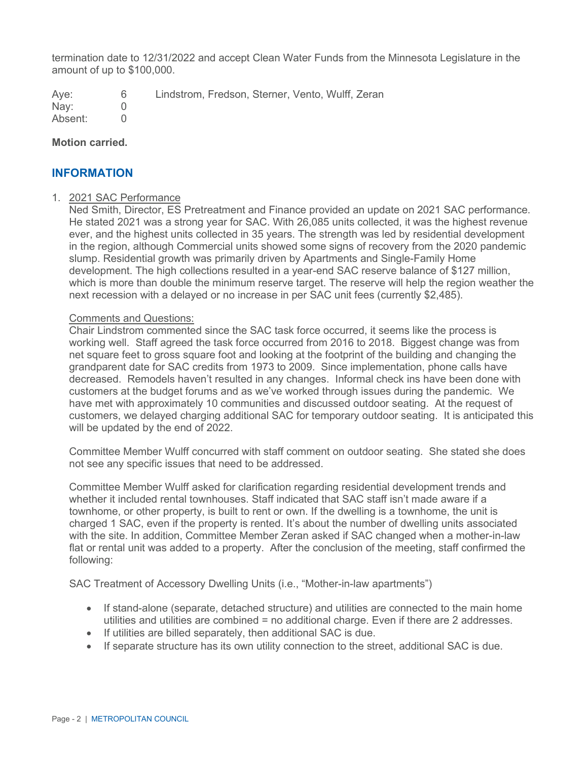termination date to 12/31/2022 and accept Clean Water Funds from the Minnesota Legislature in the amount of up to \$100,000.

Ave: 6 Lindstrom, Fredson, Sterner, Vento, Wulff, Zeran

 Nay: 0 Absent: 0

#### **Motion carried.**

# **INFORMATION**

#### 1. 2021 SAC Performance

 which is more than double the minimum reserve target. The reserve will help the region weather the Ned Smith, Director, ES Pretreatment and Finance provided an update on 2021 SAC performance. He stated 2021 was a strong year for SAC. With 26,085 units collected, it was the highest revenue ever, and the highest units collected in 35 years. The strength was led by residential development in the region, although Commercial units showed some signs of recovery from the 2020 pandemic slump. Residential growth was primarily driven by Apartments and Single-Family Home development. The high collections resulted in a year-end SAC reserve balance of \$127 million, next recession with a delayed or no increase in per SAC unit fees (currently \$2,485).

#### Comments and Questions:

 working well. Staff agreed the task force occurred from 2016 to 2018. Biggest change was from grandparent date for SAC credits from 1973 to 2009. Since implementation, phone calls have decreased. Remodels haven't resulted in any changes. Informal check ins have been done with customers at the budget forums and as we've worked through issues during the pandemic. We have met with approximately 10 communities and discussed outdoor seating. At the request of customers, we delayed charging additional SAC for temporary outdoor seating. It is anticipated this Chair Lindstrom commented since the SAC task force occurred, it seems like the process is net square feet to gross square foot and looking at the footprint of the building and changing the will be updated by the end of 2022.

 Committee Member Wulff concurred with staff comment on outdoor seating. She stated she does not see any specific issues that need to be addressed.

 townhome, or other property, is built to rent or own. If the dwelling is a townhome, the unit is charged 1 SAC, even if the property is rented. It's about the number of dwelling units associated flat or rental unit was added to a property. After the conclusion of the meeting, staff confirmed the Committee Member Wulff asked for clarification regarding residential development trends and whether it included rental townhouses. Staff indicated that SAC staff isn't made aware if a with the site. In addition, Committee Member Zeran asked if SAC changed when a mother-in-law following:

SAC Treatment of Accessory Dwelling Units (i.e., "Mother-in-law apartments")

- If stand-alone (separate, detached structure) and utilities are connected to the main home utilities and utilities are combined = no additional charge. Even if there are 2 addresses.
- If utilities are billed separately, then additional SAC is due.
- If separate structure has its own utility connection to the street, additional SAC is due.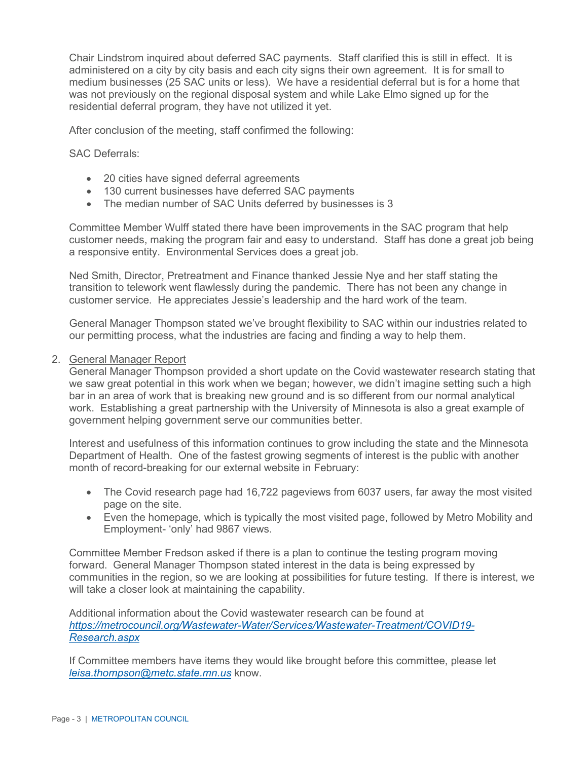Chair Lindstrom inquired about deferred SAC payments. Staff clarified this is still in effect. It is administered on a city by city basis and each city signs their own agreement. It is for small to medium businesses (25 SAC units or less). We have a residential deferral but is for a home that was not previously on the regional disposal system and while Lake Elmo signed up for the residential deferral program, they have not utilized it yet.

After conclusion of the meeting, staff confirmed the following:

SAC Deferrals:

- 20 cities have signed deferral agreements
- 130 current businesses have deferred SAC payments
- The median number of SAC Units deferred by businesses is 3

 customer needs, making the program fair and easy to understand. Staff has done a great job being a responsive entity. Environmental Services does a great job. Committee Member Wulff stated there have been improvements in the SAC program that help

 transition to telework went flawlessly during the pandemic. There has not been any change in customer service. He appreciates Jessie's leadership and the hard work of the team. Ned Smith, Director, Pretreatment and Finance thanked Jessie Nye and her staff stating the

General Manager Thompson stated we've brought flexibility to SAC within our industries related to our permitting process, what the industries are facing and finding a way to help them.

#### 2. General Manager Report

 bar in an area of work that is breaking new ground and is so different from our normal analytical government helping government serve our communities better. General Manager Thompson provided a short update on the Covid wastewater research stating that we saw great potential in this work when we began; however, we didn't imagine setting such a high work. Establishing a great partnership with the University of Minnesota is also a great example of

government helping government serve our communities better.<br>Interest and usefulness of this information continues to grow including the state and the Minnesota Department of Health. One of the fastest growing segments of interest is the public with another month of record-breaking for our external website in February:

- The Covid research page had 16,722 pageviews from 6037 users, far away the most visited page on the site.
- • Even the homepage, which is typically the most visited page, followed by Metro Mobility and Employment- 'only' had 9867 views.

 communities in the region, so we are looking at possibilities for future testing. If there is interest, we Committee Member Fredson asked if there is a plan to continue the testing program moving forward. General Manager Thompson stated interest in the data is being expressed by will take a closer look at maintaining the capability.

Additional information about the Covid wastewater research can be found at *[https://metrocouncil.org/Wastewater-Water/Services/Wastewater-Treatment/COVID19-](https://metrocouncil.org/Wastewater-Water/Services/Wastewater-Treatment/COVID19-Research.aspx) [Research.aspx](https://metrocouncil.org/Wastewater-Water/Services/Wastewater-Treatment/COVID19-Research.aspx)*

 *[leisa.thompson@metc.state.mn.us](mailto:leisa.thompson@metc.state.mn.us)* know. If Committee members have items they would like brought before this committee, please let